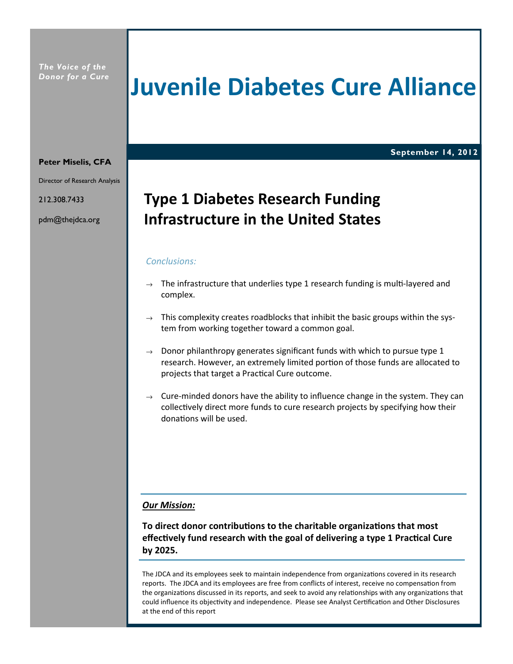The Voice of the Donor for a Cure

# Juvenile Diabetes Cure Alliance

#### September 14, 2012

# Peter Miselis, CFA

Director of Research Analysis

212.308.7433

pdm@thejdca.org

# Type 1 Diabetes Research Funding Infrastructure in the United States

#### Conclusions:

- $\rightarrow$  The infrastructure that underlies type 1 research funding is multi-layered and complex.
- $\rightarrow$  This complexity creates roadblocks that inhibit the basic groups within the system from working together toward a common goal.
- $\rightarrow$  Donor philanthropy generates significant funds with which to pursue type 1 research. However, an extremely limited portion of those funds are allocated to projects that target a Practical Cure outcome.
- $\rightarrow$  Cure-minded donors have the ability to influence change in the system. They can collectively direct more funds to cure research projects by specifying how their donations will be used.

#### Our Mission:

To direct donor contributions to the charitable organizations that most effectively fund research with the goal of delivering a type 1 Practical Cure by 2025.

The JDCA and its employees seek to maintain independence from organizations covered in its research reports. The JDCA and its employees are free from conflicts of interest, receive no compensation from the organizations discussed in its reports, and seek to avoid any relationships with any organizations that could influence its objectivity and independence. Please see Analyst Certification and Other Disclosures at the end of this report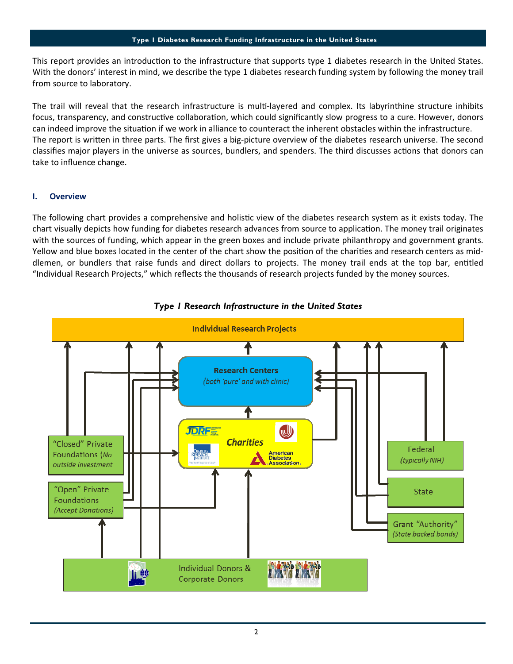This report provides an introduction to the infrastructure that supports type 1 diabetes research in the United States. With the donors' interest in mind, we describe the type 1 diabetes research funding system by following the money trail from source to laboratory.

The trail will reveal that the research infrastructure is multi-layered and complex. Its labyrinthine structure inhibits focus, transparency, and constructive collaboration, which could significantly slow progress to a cure. However, donors can indeed improve the situation if we work in alliance to counteract the inherent obstacles within the infrastructure. The report is written in three parts. The first gives a big-picture overview of the diabetes research universe. The second classifies major players in the universe as sources, bundlers, and spenders. The third discusses actions that donors can take to influence change.

### I. Overview

The following chart provides a comprehensive and holistic view of the diabetes research system as it exists today. The chart visually depicts how funding for diabetes research advances from source to application. The money trail originates with the sources of funding, which appear in the green boxes and include private philanthropy and government grants. Yellow and blue boxes located in the center of the chart show the position of the charities and research centers as middlemen, or bundlers that raise funds and direct dollars to projects. The money trail ends at the top bar, entitled "Individual Research Projects," which reflects the thousands of research projects funded by the money sources.



## Type 1 Research Infrastructure in the United States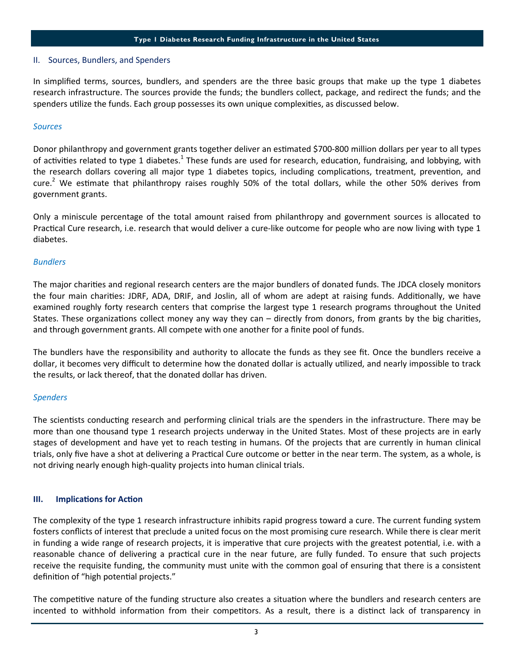#### II. Sources, Bundlers, and Spenders

In simplified terms, sources, bundlers, and spenders are the three basic groups that make up the type 1 diabetes research infrastructure. The sources provide the funds; the bundlers collect, package, and redirect the funds; and the spenders utilize the funds. Each group possesses its own unique complexities, as discussed below.

#### **Sources**

Donor philanthropy and government grants together deliver an estimated \$700-800 million dollars per year to all types of activities related to type 1 diabetes.<sup>1</sup> These funds are used for research, education, fundraising, and lobbying, with the research dollars covering all major type 1 diabetes topics, including complications, treatment, prevention, and cure.<sup>2</sup> We estimate that philanthropy raises roughly 50% of the total dollars, while the other 50% derives from government grants.

Only a miniscule percentage of the total amount raised from philanthropy and government sources is allocated to Practical Cure research, i.e. research that would deliver a cure-like outcome for people who are now living with type 1 diabetes.

#### Bundlers

The major charities and regional research centers are the major bundlers of donated funds. The JDCA closely monitors the four main charities: JDRF, ADA, DRIF, and Joslin, all of whom are adept at raising funds. Additionally, we have examined roughly forty research centers that comprise the largest type 1 research programs throughout the United States. These organizations collect money any way they can  $-$  directly from donors, from grants by the big charities, and through government grants. All compete with one another for a finite pool of funds.

The bundlers have the responsibility and authority to allocate the funds as they see fit. Once the bundlers receive a dollar, it becomes very difficult to determine how the donated dollar is actually utilized, and nearly impossible to track the results, or lack thereof, that the donated dollar has driven.

#### **Spenders**

The scientists conducting research and performing clinical trials are the spenders in the infrastructure. There may be more than one thousand type 1 research projects underway in the United States. Most of these projects are in early stages of development and have yet to reach testing in humans. Of the projects that are currently in human clinical trials, only five have a shot at delivering a Practical Cure outcome or better in the near term. The system, as a whole, is not driving nearly enough high-quality projects into human clinical trials.

#### III. Implications for Action

The complexity of the type 1 research infrastructure inhibits rapid progress toward a cure. The current funding system fosters conflicts of interest that preclude a united focus on the most promising cure research. While there is clear merit in funding a wide range of research projects, it is imperative that cure projects with the greatest potential, i.e. with a reasonable chance of delivering a practical cure in the near future, are fully funded. To ensure that such projects receive the requisite funding, the community must unite with the common goal of ensuring that there is a consistent definition of "high potential projects."

The competitive nature of the funding structure also creates a situation where the bundlers and research centers are incented to withhold information from their competitors. As a result, there is a distinct lack of transparency in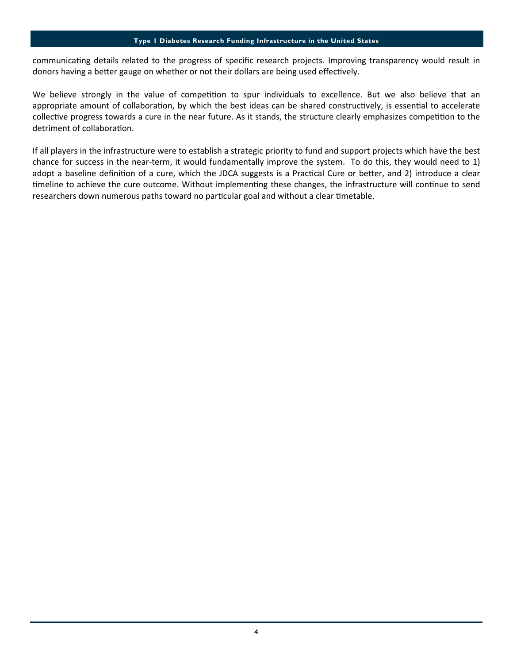#### Type 1 Diabetes Research Funding Infrastructure in the United States

communicating details related to the progress of specific research projects. Improving transparency would result in donors having a better gauge on whether or not their dollars are being used effectively.

We believe strongly in the value of competition to spur individuals to excellence. But we also believe that an appropriate amount of collaboration, by which the best ideas can be shared constructively, is essential to accelerate collective progress towards a cure in the near future. As it stands, the structure clearly emphasizes competition to the detriment of collaboration.

If all players in the infrastructure were to establish a strategic priority to fund and support projects which have the best chance for success in the near-term, it would fundamentally improve the system. To do this, they would need to 1) adopt a baseline definition of a cure, which the JDCA suggests is a Practical Cure or better, and 2) introduce a clear timeline to achieve the cure outcome. Without implementing these changes, the infrastructure will continue to send researchers down numerous paths toward no particular goal and without a clear timetable.